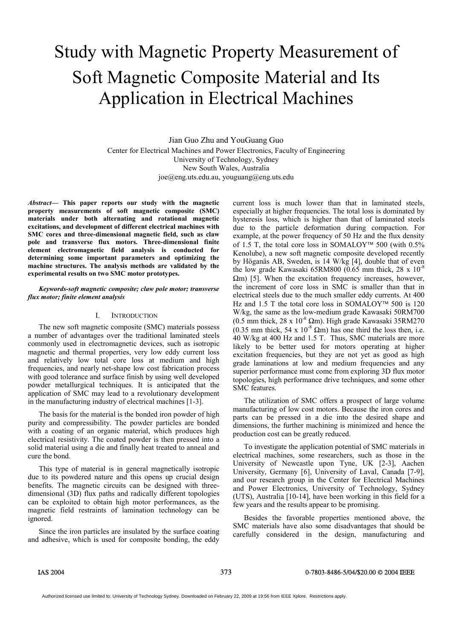# Study with Magnetic Property Measurement of Soft Magnetic Composite Material and Its Application in Electrical Machines

Jian Guo Zhu and YouGuang Guo Center for Electrical Machines and Power Electronics, Faculty of Engineering University of Technology, Sydney New South Wales, Australia joe@eng.uts.edu.au, youguang@eng.uts.edu

*Abstract***— This paper reports our study with the magnetic property measurements of soft magnetic composite (SMC) materials under both alternating and rotational magnetic excitations, and development of different electrical machines with SMC cores and three-dimensional magnetic field, such as claw pole and transverse flux motors. Three-dimensional finite element electromagnetic field analysis is conducted for determining some important parameters and optimizing the machine structures. The analysis methods are validated by the experimental results on two SMC motor prototypes.** 

### *Keywords-soft magnetic composite; claw pole motor; transverse flux motor; finite element analysis*

### I. INTRODUCTION

The new soft magnetic composite (SMC) materials possess a number of advantages over the traditional laminated steels commonly used in electromagnetic devices, such as isotropic magnetic and thermal properties, very low eddy current loss and relatively low total core loss at medium and high frequencies, and nearly net-shape low cost fabrication process with good tolerance and surface finish by using well developed powder metallurgical techniques. It is anticipated that the application of SMC may lead to a revolutionary development in the manufacturing industry of electrical machines [1-3].

The basis for the material is the bonded iron powder of high purity and compressibility. The powder particles are bonded with a coating of an organic material, which produces high electrical resistivity. The coated powder is then pressed into a solid material using a die and finally heat treated to anneal and cure the bond.

This type of material is in general magnetically isotropic due to its powdered nature and this opens up crucial design benefits. The magnetic circuits can be designed with threedimensional (3D) flux paths and radically different topologies can be exploited to obtain high motor performances, as the magnetic field restraints of lamination technology can be ignored.

Since the iron particles are insulated by the surface coating and adhesive, which is used for composite bonding, the eddy current loss is much lower than that in laminated steels, especially at higher frequencies. The total loss is dominated by hysteresis loss, which is higher than that of laminated steels due to the particle deformation during compaction. For example, at the power frequency of 50 Hz and the flux density of 1.5 T, the total core loss in SOMALOY<sup>™</sup> 500 (with  $0.5\%$ ) Kenolube), a new soft magnetic composite developed recently by Höganäs AB, Sweden, is 14 W/kg [4], double that of even the low grade Kawasaki 65RM800 (0.65 mm thick, 28 x  $10^{-8}$ )  $\Omega$ m) [5]. When the excitation frequency increases, however, the increment of core loss in SMC is smaller than that in electrical steels due to the much smaller eddy currents. At 400 Hz and 1.5 T the total core loss in SOMALOY<sup>™</sup> 500 is 120 W/kg, the same as the low-medium grade Kawasaki 50RM700 (0.5 mm thick,  $28 \times 10^{-8}$  Qm). High grade Kawasaki 35RM270 (0.35 mm thick,  $54 \times 10^{-8}$  Qm) has one third the loss then, i.e. 40 W/kg at 400 Hz and 1.5 T. Thus, SMC materials are more likely to be better used for motors operating at higher excitation frequencies, but they are not yet as good as high grade laminations at low and medium frequencies and any superior performance must come from exploring 3D flux motor topologies, high performance drive techniques, and some other SMC features.

The utilization of SMC offers a prospect of large volume manufacturing of low cost motors. Because the iron cores and parts can be pressed in a die into the desired shape and dimensions, the further machining is minimized and hence the production cost can be greatly reduced.

To investigate the application potential of SMC materials in electrical machines, some researchers, such as those in the University of Newcastle upon Tyne, UK [2-3], Aachen University, Germany [6], University of Laval, Canada [7-9], and our research group in the Center for Electrical Machines and Power Electronics, University of Technology, Sydney (UTS), Australia [10-14], have been working in this field for a few years and the results appear to be promising.

Besides the favorable properties mentioned above, the SMC materials have also some disadvantages that should be carefully considered in the design, manufacturing and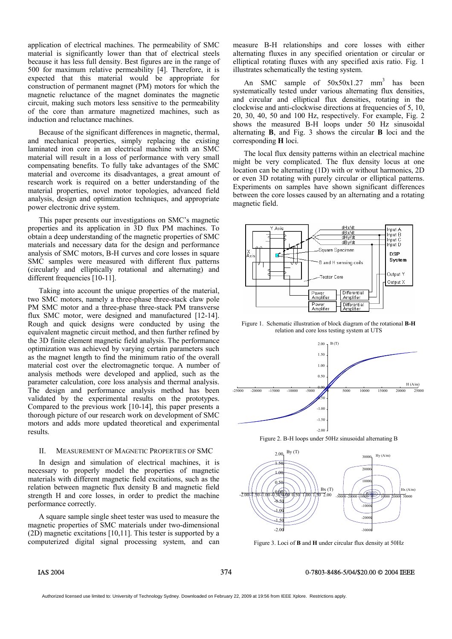application of electrical machines. The permeability of SMC material is significantly lower than that of electrical steels because it has less full density. Best figures are in the range of 500 for maximum relative permeability [4]. Therefore, it is expected that this material would be appropriate for construction of permanent magnet (PM) motors for which the magnetic reluctance of the magnet dominates the magnetic circuit, making such motors less sensitive to the permeability of the core than armature magnetized machines, such as induction and reluctance machines.

Because of the significant differences in magnetic, thermal, and mechanical properties, simply replacing the existing laminated iron core in an electrical machine with an SMC material will result in a loss of performance with very small compensating benefits. To fully take advantages of the SMC material and overcome its disadvantages, a great amount of research work is required on a better understanding of the material properties, novel motor topologies, advanced field analysis, design and optimization techniques, and appropriate power electronic drive system.

This paper presents our investigations on SMC's magnetic properties and its application in 3D flux PM machines. To obtain a deep understanding of the magnetic properties of SMC materials and necessary data for the design and performance analysis of SMC motors, B-H curves and core losses in square SMC samples were measured with different flux patterns (circularly and elliptically rotational and alternating) and different frequencies [10-11].

Taking into account the unique properties of the material, two SMC motors, namely a three-phase three-stack claw pole PM SMC motor and a three-phase three-stack PM transverse flux SMC motor, were designed and manufactured [12-14]. Rough and quick designs were conducted by using the equivalent magnetic circuit method, and then further refined by the 3D finite element magnetic field analysis. The performance optimization was achieved by varying certain parameters such as the magnet length to find the minimum ratio of the overall material cost over the electromagnetic torque. A number of analysis methods were developed and applied, such as the parameter calculation, core loss analysis and thermal analysis. The design and performance analysis method has been validated by the experimental results on the prototypes. Compared to the previous work [10-14], this paper presents a thorough picture of our research work on development of SMC motors and adds more updated theoretical and experimental results.

### II. MEASUREMENT OF MAGNETIC PROPERTIES OF SMC

In design and simulation of electrical machines, it is necessary to properly model the properties of magnetic materials with different magnetic field excitations, such as the relation between magnetic flux density B and magnetic field strength H and core losses, in order to predict the machine performance correctly.

A square sample single sheet tester was used to measure the magnetic properties of SMC materials under two-dimensional (2D) magnetic excitations [10,11]. This tester is supported by a computerized digital signal processing system, and can measure B-H relationships and core losses with either alternating fluxes in any specified orientation or circular or elliptical rotating fluxes with any specified axis ratio. Fig. 1 illustrates schematically the testing system.

An SMC sample of  $50x50x1.27$  mm<sup>3</sup> has been systematically tested under various alternating flux densities, and circular and elliptical flux densities, rotating in the clockwise and anti-clockwise directions at frequencies of 5, 10, 20, 30, 40, 50 and 100 Hz, respectively. For example, Fig. 2 shows the measured B-H loops under 50 Hz sinusoidal alternating **B**, and Fig. 3 shows the circular **B** loci and the corresponding **H** loci.

The local flux density patterns within an electrical machine might be very complicated. The flux density locus at one location can be alternating (1D) with or without harmonics, 2D or even 3D rotating with purely circular or elliptical patterns. Experiments on samples have shown significant differences between the core losses caused by an alternating and a rotating magnetic field.



Figure 1. Schematic illustration of block diagram of the rotational **B-H** relation and core loss testing system at UTS



Figure 2. B-H loops under 50Hz sinusoidal alternating B



Figure 3. Loci of **B** and **H** under circular flux density at 50Hz

### IAS 2004 374 0-7803-8486-5/04/\$20.00 © 2004 IEEE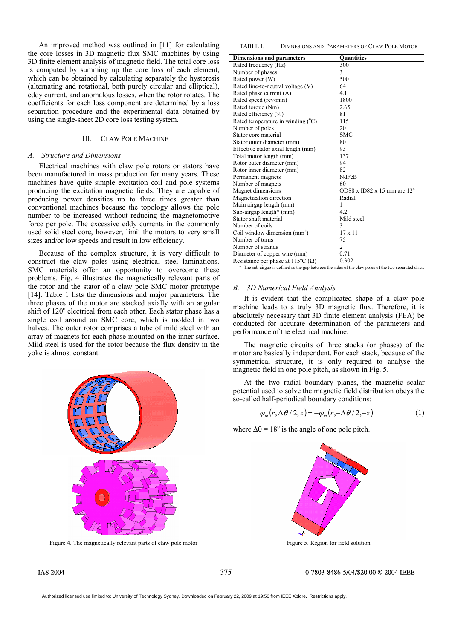An improved method was outlined in [11] for calculating the core losses in 3D magnetic flux SMC machines by using 3D finite element analysis of magnetic field. The total core loss is computed by summing up the core loss of each element, which can be obtained by calculating separately the hysteresis (alternating and rotational, both purely circular and elliptical), eddy current, and anomalous losses, when the rotor rotates. The coefficients for each loss component are determined by a loss separation procedure and the experimental data obtained by using the single-sheet 2D core loss testing system.

### III. CLAW POLE MACHINE

### *A. Structure and Dimensions*

Electrical machines with claw pole rotors or stators have been manufactured in mass production for many years. These machines have quite simple excitation coil and pole systems producing the excitation magnetic fields. They are capable of producing power densities up to three times greater than conventional machines because the topology allows the pole number to be increased without reducing the magnetomotive force per pole. The excessive eddy currents in the commonly used solid steel core, however, limit the motors to very small sizes and/or low speeds and result in low efficiency.

Because of the complex structure, it is very difficult to construct the claw poles using electrical steel laminations. SMC materials offer an opportunity to overcome these problems. Fig. 4 illustrates the magnetically relevant parts of the rotor and the stator of a claw pole SMC motor prototype [14]. Table 1 lists the dimensions and major parameters. The three phases of the motor are stacked axially with an angular shift of 120° electrical from each other. Each stator phase has a single coil around an SMC core, which is molded in two halves. The outer rotor comprises a tube of mild steel with an array of magnets for each phase mounted on the inner surface. Mild steel is used for the rotor because the flux density in the yoke is almost constant.



Figure 4. The magnetically relevant parts of claw pole motor

TABLE I. DIMNESIONS AND PARAMETERS OF CLAW POLE MOTOR

| Rated frequency (Hz)<br>300<br>3<br>Number of phases<br>500<br>Rated power (W)<br>Rated line-to-neutral voltage (V)<br>64<br>Rated phase current (A)<br>4.1<br>Rated speed (rev/min)<br>1800<br>2.65<br>Rated torque (Nm)<br>81<br>Rated efficiency (%)<br>115<br>Rated temperature in winding $(°C)$<br>20<br>Number of poles<br><b>SMC</b><br>Stator core material<br>80<br>Stator outer diameter (mm)<br>93<br>Effective stator axial length (mm)<br>137<br>Total motor length (mm)<br>94<br>Rotor outer diameter (mm)<br>82<br>Rotor inner diameter (mm)<br><b>NdFeB</b><br>Permanent magnets<br>Number of magnets<br>60<br>Magnet dimensions<br>OD88 x ID82 x 15 mm arc $12^{\circ}$<br>Magnetization direction<br>Radial<br>Main airgap length (mm)<br>1<br>4.2<br>Sub-airgap length $*$ (mm)<br>Stator shaft material<br>Mild steel<br>3<br>Number of coils<br>$17 \times 11$<br>Coil window dimension $(mm2)$ |                                  |                   |
|-----------------------------------------------------------------------------------------------------------------------------------------------------------------------------------------------------------------------------------------------------------------------------------------------------------------------------------------------------------------------------------------------------------------------------------------------------------------------------------------------------------------------------------------------------------------------------------------------------------------------------------------------------------------------------------------------------------------------------------------------------------------------------------------------------------------------------------------------------------------------------------------------------------------------|----------------------------------|-------------------|
|                                                                                                                                                                                                                                                                                                                                                                                                                                                                                                                                                                                                                                                                                                                                                                                                                                                                                                                       | <b>Dimensions and parameters</b> | <b>Quantities</b> |
|                                                                                                                                                                                                                                                                                                                                                                                                                                                                                                                                                                                                                                                                                                                                                                                                                                                                                                                       |                                  |                   |
|                                                                                                                                                                                                                                                                                                                                                                                                                                                                                                                                                                                                                                                                                                                                                                                                                                                                                                                       |                                  |                   |
|                                                                                                                                                                                                                                                                                                                                                                                                                                                                                                                                                                                                                                                                                                                                                                                                                                                                                                                       |                                  |                   |
|                                                                                                                                                                                                                                                                                                                                                                                                                                                                                                                                                                                                                                                                                                                                                                                                                                                                                                                       |                                  |                   |
|                                                                                                                                                                                                                                                                                                                                                                                                                                                                                                                                                                                                                                                                                                                                                                                                                                                                                                                       |                                  |                   |
|                                                                                                                                                                                                                                                                                                                                                                                                                                                                                                                                                                                                                                                                                                                                                                                                                                                                                                                       |                                  |                   |
|                                                                                                                                                                                                                                                                                                                                                                                                                                                                                                                                                                                                                                                                                                                                                                                                                                                                                                                       |                                  |                   |
|                                                                                                                                                                                                                                                                                                                                                                                                                                                                                                                                                                                                                                                                                                                                                                                                                                                                                                                       |                                  |                   |
|                                                                                                                                                                                                                                                                                                                                                                                                                                                                                                                                                                                                                                                                                                                                                                                                                                                                                                                       |                                  |                   |
|                                                                                                                                                                                                                                                                                                                                                                                                                                                                                                                                                                                                                                                                                                                                                                                                                                                                                                                       |                                  |                   |
|                                                                                                                                                                                                                                                                                                                                                                                                                                                                                                                                                                                                                                                                                                                                                                                                                                                                                                                       |                                  |                   |
|                                                                                                                                                                                                                                                                                                                                                                                                                                                                                                                                                                                                                                                                                                                                                                                                                                                                                                                       |                                  |                   |
|                                                                                                                                                                                                                                                                                                                                                                                                                                                                                                                                                                                                                                                                                                                                                                                                                                                                                                                       |                                  |                   |
|                                                                                                                                                                                                                                                                                                                                                                                                                                                                                                                                                                                                                                                                                                                                                                                                                                                                                                                       |                                  |                   |
|                                                                                                                                                                                                                                                                                                                                                                                                                                                                                                                                                                                                                                                                                                                                                                                                                                                                                                                       |                                  |                   |
|                                                                                                                                                                                                                                                                                                                                                                                                                                                                                                                                                                                                                                                                                                                                                                                                                                                                                                                       |                                  |                   |
|                                                                                                                                                                                                                                                                                                                                                                                                                                                                                                                                                                                                                                                                                                                                                                                                                                                                                                                       |                                  |                   |
|                                                                                                                                                                                                                                                                                                                                                                                                                                                                                                                                                                                                                                                                                                                                                                                                                                                                                                                       |                                  |                   |
|                                                                                                                                                                                                                                                                                                                                                                                                                                                                                                                                                                                                                                                                                                                                                                                                                                                                                                                       |                                  |                   |
|                                                                                                                                                                                                                                                                                                                                                                                                                                                                                                                                                                                                                                                                                                                                                                                                                                                                                                                       |                                  |                   |
|                                                                                                                                                                                                                                                                                                                                                                                                                                                                                                                                                                                                                                                                                                                                                                                                                                                                                                                       |                                  |                   |
|                                                                                                                                                                                                                                                                                                                                                                                                                                                                                                                                                                                                                                                                                                                                                                                                                                                                                                                       |                                  |                   |
|                                                                                                                                                                                                                                                                                                                                                                                                                                                                                                                                                                                                                                                                                                                                                                                                                                                                                                                       |                                  |                   |
|                                                                                                                                                                                                                                                                                                                                                                                                                                                                                                                                                                                                                                                                                                                                                                                                                                                                                                                       |                                  |                   |
|                                                                                                                                                                                                                                                                                                                                                                                                                                                                                                                                                                                                                                                                                                                                                                                                                                                                                                                       |                                  |                   |
|                                                                                                                                                                                                                                                                                                                                                                                                                                                                                                                                                                                                                                                                                                                                                                                                                                                                                                                       | Number of turns                  | 75                |
| $\overline{2}$<br>Number of strands                                                                                                                                                                                                                                                                                                                                                                                                                                                                                                                                                                                                                                                                                                                                                                                                                                                                                   |                                  |                   |
| 0.71<br>Diameter of copper wire (mm)                                                                                                                                                                                                                                                                                                                                                                                                                                                                                                                                                                                                                                                                                                                                                                                                                                                                                  |                                  |                   |
| 0.302<br>Resistance per phase at 115 <sup>o</sup> C ( $\Omega$ )                                                                                                                                                                                                                                                                                                                                                                                                                                                                                                                                                                                                                                                                                                                                                                                                                                                      |                                  |                   |

The sub-airgap is defined as the gap between the sides of the claw poles of the two separated discs

### *B. 3D Numerical Field Analysis*

It is evident that the complicated shape of a claw pole machine leads to a truly 3D magnetic flux. Therefore, it is absolutely necessary that 3D finite element analysis (FEA) be conducted for accurate determination of the parameters and performance of the electrical machine.

The magnetic circuits of three stacks (or phases) of the motor are basically independent. For each stack, because of the symmetrical structure, it is only required to analyse the magnetic field in one pole pitch, as shown in Fig. 5.

At the two radial boundary planes, the magnetic scalar potential used to solve the magnetic field distribution obeys the so-called half-periodical boundary conditions:

$$
\varphi_m(r, \Delta\theta/2, z) = -\varphi_m(r, -\Delta\theta/2, -z) \tag{1}
$$

where  $\Delta\theta = 18^\circ$  is the angle of one pole pitch.



Figure 5. Region for field solution

### IAS 2004 375 0-7803-8486-5/04/\$20.00 © 2004 IEEE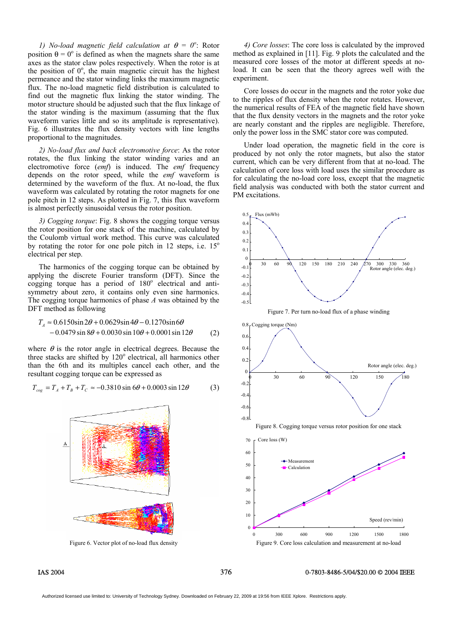*1) No-load magnetic field calculation at*  $\theta = 0^\circ$ : Rotor position  $\theta = 0^{\circ}$  is defined as when the magnets share the same axes as the stator claw poles respectively. When the rotor is at the position of  $0^\circ$ , the main magnetic circuit has the highest permeance and the stator winding links the maximum magnetic flux. The no-load magnetic field distribution is calculated to find out the magnetic flux linking the stator winding. The motor structure should be adjusted such that the flux linkage of the stator winding is the maximum (assuming that the flux waveform varies little and so its amplitude is representative). Fig. 6 illustrates the flux density vectors with line lengths proportional to the magnitudes.

*2) No-load flux and back electromotive force*: As the rotor rotates, the flux linking the stator winding varies and an electromotive force (*emf*) is induced. The *emf* frequency depends on the rotor speed, while the *emf* waveform is determined by the waveform of the flux. At no-load, the flux waveform was calculated by rotating the rotor magnets for one pole pitch in 12 steps. As plotted in Fig. 7, this flux waveform is almost perfectly sinusoidal versus the rotor position.

*3) Cogging torque*: Fig. 8 shows the cogging torque versus the rotor position for one stack of the machine, calculated by the Coulomb virtual work method. This curve was calculated by rotating the rotor for one pole pitch in 12 steps, i.e.  $15^{\circ}$ electrical per step.

The harmonics of the cogging torque can be obtained by applying the discrete Fourier transform (DFT). Since the cogging torque has a period of  $180^\circ$  electrical and antisymmetry about zero, it contains only even sine harmonics. The cogging torque harmonics of phase *A* was obtained by the DFT method as following

$$
T_A \approx 0.6150 \sin 2\theta + 0.0629 \sin 4\theta - 0.1270 \sin 6\theta - 0.0479 \sin 8\theta + 0.0030 \sin 10\theta + 0.0001 \sin 12\theta
$$
 (2)

where  $\theta$  is the rotor angle in electrical degrees. Because the three stacks are shifted by  $120^\circ$  electrical, all harmonics other than the 6th and its multiples cancel each other, and the resultant cogging torque can be expressed as

$$
T_{cog} = T_A + T_B + T_C \approx -0.3810 \sin 6\theta + 0.0003 \sin 12\theta
$$
 (3)



Figure 6. Vector plot of no-load flux density

*4) Core losses*: The core loss is calculated by the improved method as explained in [11]. Fig. 9 plots the calculated and the measured core losses of the motor at different speeds at noload. It can be seen that the theory agrees well with the experiment.

Core losses do occur in the magnets and the rotor yoke due to the ripples of flux density when the rotor rotates. However, the numerical results of FEA of the magnetic field have shown that the flux density vectors in the magnets and the rotor yoke are nearly constant and the ripples are negligible. Therefore, only the power loss in the SMC stator core was computed.

Under load operation, the magnetic field in the core is produced by not only the rotor magnets, but also the stator current, which can be very different from that at no-load. The calculation of core loss with load uses the similar procedure as for calculating the no-load core loss, except that the magnetic field analysis was conducted with both the stator current and PM excitations.

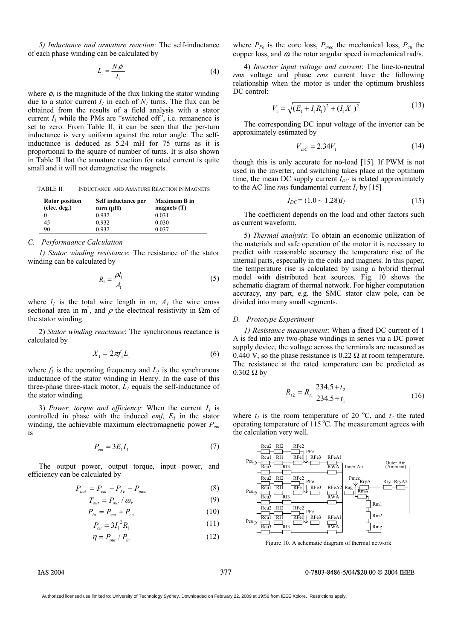*5) Inductance and armature reaction*: The self-inductance of each phase winding can be calculated by

$$
L_1 = \frac{N_1 \phi_1}{I_1} \tag{4}
$$

where  $\phi_l$  is the magnitude of the flux linking the stator winding due to a stator current  $I_1$  in each of  $N_1$  turns. The flux can be obtained from the results of a field analysis with a stator current  $I_1$  while the PMs are "switched off", i.e. remanence is set to zero. From Table II, it can be seen that the per-turn inductance is very uniform against the rotor angle. The selfinductance is deduced as 5.24 mH for 75 turns as it is proportional to the square of number of turns. It is also shown in Table II that the armature reaction for rated current is quite small and it will not demagnetise the magnets.

TABLE II. INDUCTANCE AND AMATURE REACTION IN MAGNETS

| <b>Rotor position</b> | Self inductance per | <b>Maximum B in</b> |
|-----------------------|---------------------|---------------------|
| (elec. deg.)          | turn $(\mu H)$      | magnets $(T)$       |
|                       | 0.932               | 0.031               |
| 45                    | 0.932               | 0.030               |
| 90                    | 0.932               | 0.037               |

### *C. Performaance Calculation*

*1) Stator winding resistance*: The resistance of the stator winding can be calculated by

$$
R_1 = \frac{\rho l_1}{A_1} \tag{5}
$$

where  $l_1$  is the total wire length in m,  $A_1$  the wire cross sectional area in m<sup>2</sup>, and  $\rho$  the electrical resistivity in  $\Omega$ m of the stator winding.

2) *Stator winding reactance*: The synchronous reactance is calculated by

$$
X_1 = 2\pi f_1 L_1 \tag{6}
$$

where  $f_l$  is the operating frequency and  $L_l$  is the synchronous inductance of the stator winding in Henry. In the case of this three-phase three-stack motor,  $L_1$  equals the self-inductance of the stator winding.

3) *Power, torque and efficiency*: When the current  $I<sub>1</sub>$  is controlled in phase with the induced *emf,*  $E_l$  in the stator winding, the achievable maximum electromagnetic power *Pem* is

$$
P_{em} = 3E_1 I_1 \tag{7}
$$

The output power, output torque, input power, and efficiency can be calculated by

$$
P_{out} = P_{em} - P_{Fe} - P_{mec} \tag{8}
$$

$$
T_{out} = P_{out} / \omega_r \tag{9}
$$

$$
P_{in} = P_{em} + P_{cu} \tag{10}
$$

$$
P_{cu} = 3I_1^2 R_1 \tag{11}
$$

$$
\eta = P_{out} / P_{in} \tag{12}
$$

where  $P_{Fe}$  is the core loss,  $P_{mec}$  the mechanical loss,  $P_{cu}$  the copper loss, and  $\omega$  the rotor angular speed in mechanical rad/s.

4) *Inverter input voltage and current*: The line-to-neutral *rms* voltage and phase *rms* current have the following relationship when the motor is under the optimum brushless DC control:

$$
V_1 = \sqrt{\left(E_1 + I_1 R_1\right)^2 + \left(I_1 X_1\right)^2} \tag{13}
$$

The corresponding DC input voltage of the inverter can be approximately estimated by

$$
V_{DC} = 2.34V_1 \tag{14}
$$

though this is only accurate for no-load [15]. If PWM is not used in the inverter, and switching takes place at the optimum time, the mean DC supply current  $I_{DC}$  is related approximately to the AC line *rms* fundamental current  $I_1$  by [15]

$$
I_{DC} = (1.0 \sim 1.28)I_1\tag{15}
$$

The coefficient depends on the load and other factors such as current waveform.

5) *Thermal analysis*: To obtain an economic utilization of the materials and safe operation of the motor it is necessary to predict with reasonable accuracy the temperature rise of the internal parts, especially in the coils and magnets. In this paper, the temperature rise is calculated by using a hybrid thermal model with distributed heat sources. Fig. 10 shows the schematic diagram of thermal network. For higher computation accuracy, any part, e.g. the SMC stator claw pole, can be divided into many small segments.

### *D. Prototype Experiment*

*1) Resistance measurement*: When a fixed DC current of 1 A is fed into any two-phase windings in series via a DC power supply device, the voltage across the terminals are measured as 0.440 V, so the phase resistance is 0.22  $\Omega$  at room temperature. The resistance at the rated temperature can be predicted as  $0.302 \Omega$  by

$$
R_{t2} = R_{t1} \frac{234.5 + t_2}{234.5 + t_1}
$$
 (16)

where  $t_1$  is the room temperature of 20 °C, and  $t_2$  the rated operating temperature of 115  $^{\circ}$ C. The measurement agrees with the calculation very well.



Figure 10. A schematic diagram of thermal network

### IAS 2004 377 0-7803-8486-5/04/\$20.00 © 2004 IEEE

Authorized licensed use limited to: University of Technology Sydney. Downloaded on February 22, 2009 at 19:56 from IEEE Xplore. Restrictions apply.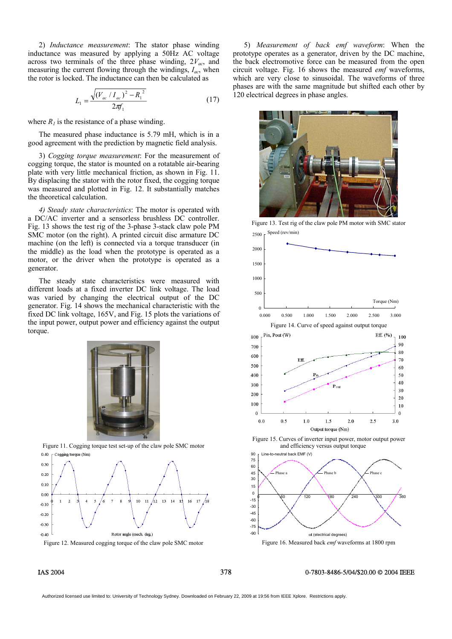2) *Inductance measurement*: The stator phase winding inductance was measured by applying a 50Hz AC voltage across two terminals of the three phase winding,  $2V_{ac}$ , and measuring the current flowing through the windings, *Iac*, when the rotor is locked. The inductance can then be calculated as

$$
L_1 = \frac{\sqrt{(V_{ac} / I_{ac})^2 - R_1^2}}{2\pi f_1}
$$
 (17)

where  $R_l$  is the resistance of a phase winding.

The measured phase inductance is 5.79 mH, which is in a good agreement with the prediction by magnetic field analysis.

3) *Cogging torque measurement*: For the measurement of cogging torque, the stator is mounted on a rotatable air-bearing plate with very little mechanical friction, as shown in Fig. 11. By displacing the stator with the rotor fixed, the cogging torque was measured and plotted in Fig. 12. It substantially matches the theoretical calculation.

*4) Steady state characteristics*: The motor is operated with a DC/AC inverter and a sensorless brushless DC controller. Fig. 13 shows the test rig of the 3-phase 3-stack claw pole PM SMC motor (on the right). A printed circuit disc armature DC machine (on the left) is connected via a torque transducer (in the middle) as the load when the prototype is operated as a motor, or the driver when the prototype is operated as a generator.

The steady state characteristics were measured with different loads at a fixed inverter DC link voltage. The load was varied by changing the electrical output of the DC generator. Fig. 14 shows the mechanical characteristic with the fixed DC link voltage, 165V, and Fig. 15 plots the variations of the input power, output power and efficiency against the output torque.



Figure 11. Cogging torque test set-up of the claw pole SMC motor Cogging torque (Nm)  $0.40$ 



Figure 12. Measured cogging torque of the claw pole SMC motor

5) *Measurement of back emf waveform*: When the prototype operates as a generator, driven by the DC machine, the back electromotive force can be measured from the open circuit voltage. Fig. 16 shows the measured *emf* waveforms, which are very close to sinusoidal. The waveforms of three phases are with the same magnitude but shifted each other by 120 electrical degrees in phase angles.



Figure 13. Test rig of the claw pole PM motor with SMC stator



Figure 15. Curves of inverter input power, motor output power and efficiency versus output torque



Figure 16. Measured back *emf* waveforms at 1800 rpm

### IAS 2004 378 0-7803-8486-5/04/\$20.00 © 2004 IEEE

Authorized licensed use limited to: University of Technology Sydney. Downloaded on February 22, 2009 at 19:56 from IEEE Xplore. Restrictions apply.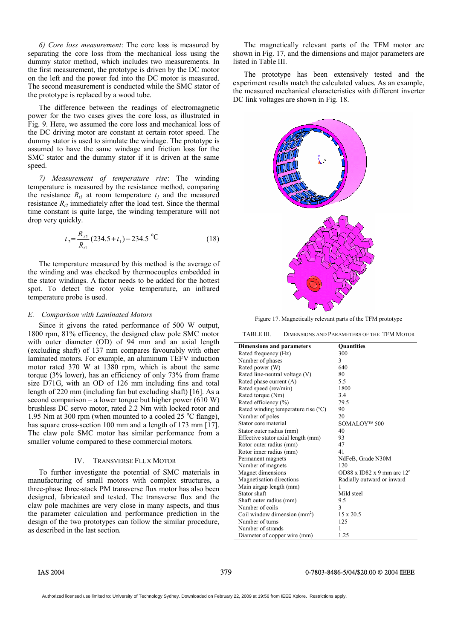*6) Core loss measurement*: The core loss is measured by separating the core loss from the mechanical loss using the dummy stator method, which includes two measurements. In the first measurement, the prototype is driven by the DC motor on the left and the power fed into the DC motor is measured. The second measurement is conducted while the SMC stator of the prototype is replaced by a wood tube.

The difference between the readings of electromagnetic power for the two cases gives the core loss, as illustrated in Fig. 9. Here, we assumed the core loss and mechanical loss of the DC driving motor are constant at certain rotor speed. The dummy stator is used to simulate the windage. The prototype is assumed to have the same windage and friction loss for the SMC stator and the dummy stator if it is driven at the same speed.

*7) Measurement of temperature rise*: The winding temperature is measured by the resistance method, comparing the resistance  $R_{tl}$  at room temperature  $t_1$  and the measured resistance  $R_{t2}$  immediately after the load test. Since the thermal time constant is quite large, the winding temperature will not drop very quickly.

$$
t_2 = \frac{R_{i2}}{R_{i1}} (234.5 + t_1) - 234.5 \text{ °C}
$$
 (18)

The temperature measured by this method is the average of the winding and was checked by thermocouples embedded in the stator windings. A factor needs to be added for the hottest spot. To detect the rotor yoke temperature, an infrared temperature probe is used.

### *E. Comparison with Laminated Motors*

Since it givens the rated performance of 500 W output, 1800 rpm, 81% efficency, the designed claw pole SMC motor with outer diameter (OD) of 94 mm and an axial length (excluding shaft) of 137 mm compares favourably with other laminated motors. For example, an aluminum TEFV induction motor rated 370 W at 1380 rpm, which is about the same torque (3% lower), has an efficiency of only 73% from frame size D71G, with an OD of 126 mm including fins and total length of 220 mm (including fan but excluding shaft) [16]. As a second comparison – a lower torque but higher power  $(610 W)$ brushless DC servo motor, rated 2.2 Nm with locked rotor and 1.95 Nm at 300 rpm (when mounted to a cooled 25  $^{\circ}$ C flange), has square cross-section 100 mm and a length of 173 mm [17]. The claw pole SMC motor has similar performance from a smaller volume compared to these commercial motors.

### IV. TRANSVERSE FLUX MOTOR

To further investigate the potential of SMC materials in manufacturing of small motors with complex structures, a three-phase three-stack PM transverse flux motor has also been designed, fabricated and tested. The transverse flux and the claw pole machines are very close in many aspects, and thus the parameter calculation and performance prediction in the design of the two prototypes can follow the similar procedure, as described in the last section.

The magnetically relevant parts of the TFM motor are shown in Fig. 17, and the dimensions and major parameters are listed in Table III.

The prototype has been extensively tested and the experiment results match the calculated values. As an example, the measured mechanical characteristics with different inverter DC link voltages are shown in Fig. 18.



Figure 17. Magnetically relevant parts of the TFM prototype

TABLE III. DIMENSIONS AND PARAMETERS OF THE TFM MOTOR

| <b>Dimensions and parameters</b>    | <b>Quantities</b>                   |
|-------------------------------------|-------------------------------------|
| Rated frequency (Hz)                | 300                                 |
| Number of phases                    | 3                                   |
| Rated power (W)                     | 640                                 |
| Rated line-neutral voltage (V)      | 80                                  |
| Rated phase current (A)             | 5.5                                 |
| Rated speed (rev/min)               | 1800                                |
| Rated torque (Nm)                   | 3.4                                 |
| Rated efficiency (%)                | 79.5                                |
| Rated winding temperature rise (°C) | 90                                  |
| Number of poles                     | 20                                  |
| Stator core material                | SOMALOY <sup>™</sup> 500            |
| Stator outer radius (mm)            | 40                                  |
| Effective stator axial length (mm)  | 93                                  |
| Rotor outer radius (mm)             | 47                                  |
| Rotor inner radius (mm)             | 41                                  |
| Permanent magnets                   | NdFeB, Grade N30M                   |
| Number of magnets                   | 120                                 |
| Magnet dimensions                   | OD88 x ID82 x 9 mm arc $12^{\circ}$ |
| Magnetisation directions            | Radially outward or inward          |
| Main airgap length (mm)             | 1                                   |
| Stator shaft                        | Mild steel                          |
| Shaft outer radius (mm)             | 9.5                                 |
| Number of coils                     | 3                                   |
| Coil window dimension $(mm^2)$      | $15 \times 20.5$                    |
| Number of turns                     | 125                                 |
| Number of strands                   | 1                                   |
| Diameter of copper wire (mm)        | 1.25                                |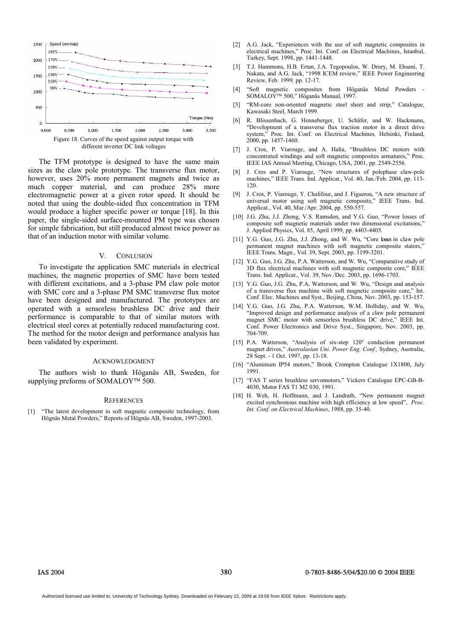

The TFM prototype is designed to have the same main sizes as the claw pole prototype. The transverse flux motor, however, uses  $20\%$  more permanent magnets and twice as much copper material, and can produce 28% more electromagnetic power at a given rotor speed. It should be noted that using the double-sided flux concentration in TFM would produce a higher specific power or torque [18]. In this paper, the single-sided surface-mounted PM type was chosen for simple fabrication, but still produced almost twice power as that of an induction motor with similar volume.

### V. CONLUSION

To investigate the application SMC materials in electrical machines, the magnetic properties of SMC have been tested with different excitations, and a 3-phase PM claw pole motor with SMC core and a 3-phase PM SMC transverse flux motor have been designed and manufactured. The prototypes are operated with a sensorless brushless DC drive and their performance is comparable to that of similar motors with electrical steel cores at potentially reduced manufacturing cost. The method for the motor design and performance analysis has been validated by experiment.

### ACKNOWLEDGMENT

The authors wish to thank Höganäs AB, Sweden, for supplying preforms of SOMALOY<sup>TM</sup> 500.

### **REFERENCES**

[1] "The latest development in soft magnetic composite technology, from Högnäs Metal Powders," Reports of Högnäs AB, Sweden, 1997-2003.

- [2] A.G. Jack, "Experiences with the use of soft magnetic composites in electrical machines," Proc. Int. Conf. on Electrical Machines, Istanbul, Turkey, Sept. 1998, pp. 1441-1448.
- [3] T.J. Hammons, H.B. Ertan, J.A. Tegopoulos, W. Drury, M. Ehsani, T. Nakata, and A.G. Jack, "1998 ICEM review," IEEE Power Engineering Review, Feb. 1999*,* pp. 12-17.
- [4] "Soft magnetic composites from Höganäs Metal Powders SOMALOY™ 500," Höganäs Manual, 1997.
- [5] "RM-core non-oriented magnetic steel sheet and strip," Catalogue, Kawasaki Steel, March 1999.
- [6] R. Blissenbach, G. Henneberger, U. Schäfer, and W. Hackmann, "Development of a transverse flux traction motor in a direct drive system," Proc. Int. Conf. on Electrical Machines*,* Helsinki, Finland, 2000, pp. 1457-1460.
- [7] J. Cros, P. Viarouge, and A. Halia, "Brushless DC motors with concentrated windings and soft magnetic composites armatures," Proc. IEEE IAS Annual Meeting, Chicago, USA, 2001, pp. 2549-2556.
- [8] J. Cros and P. Viarouge, "New structures of polephase claw-pole machines," IEEE Trans. Ind. Applicat., Vol. 40, Jan./Feb. 2004, pp. 113- 120.
- [9] J. Cros, P. Viarouge, Y. Chalifour, and J. Figueroa, "A new structure of universal motor using soft magnetic composite," IEEE Trans. Ind. Applicat., Vol. 40, Mar./Apr. 2004, pp. 550-557.
- [10] J.G. Zhu, J.J. Zhong, V.S. Ramsden, and Y.G. Guo, "Power losses of composite soft magnetic materials under two dimensional excitations," J. Applied Physics, Vol. 85, April 1999, pp. 4403-4405.
- [11] Y.G. Guo, J.G. Zhu, J.J. Zhong, and W. Wu, "Core losses in claw pole permanent magnet machines with soft magnetic composite stators," IEEE Trans. Magn., Vol. 39, Sept. 2003, pp. 3199-3201.
- [12] Y.G. Guo, J.G. Zhu, P.A. Watterson, and W. Wu, "Comparative study of 3D flux electrical machines with soft magnetic composite core," IEEE Trans. Ind. Applicat., Vol. 39, Nov./Dec. 2003, pp. 1696-1703.
- [13] Y.G. Guo, J.G. Zhu, P.A. Watterson, and W. Wu, "Design and analysis of a transverse flux machine with soft magnetic composite core," Int. Conf. Elec. Machines and Syst., Beijing, China, Nov. 2003, pp. 153-157.
- [14] Y.G. Guo, J.G. Zhu, P.A. Watterson, W.M. Holliday, and W. Wu, "Improved design and performance analysis of a claw pole permanent magnet SMC motor with sensorless brushless DC drive," IEEE Int. Conf. Power Electronics and Drive Syst., Singapore, Nov. 2003, pp. 704-709.
- [15] P.A. Watterson, "Analysis of six-step 120° conduction permanent magnet drives," *Australasian Uni. Power Eng. Conf.,* Sydney, Australia, 28 Sept. - 1 Oct. 1997, pp. 13-18.
- [16] "Aluminum IP54 motors," Brook Crompton Catalogue 1X1800, July 1991.
- [17] "FAS T series brushless servomotors," Vickers Catalogue EPC-GB-B-4030, Motor FAS T1 M2 030, 1991.
- [18] H. Weh, H. Hoffmann, and J. Landrath, "New permanent magnet excited synchronous machine with high efficiency at low speed", *Proc. Int. Conf. on Electrical Machines*, 1988, pp. 35-40.